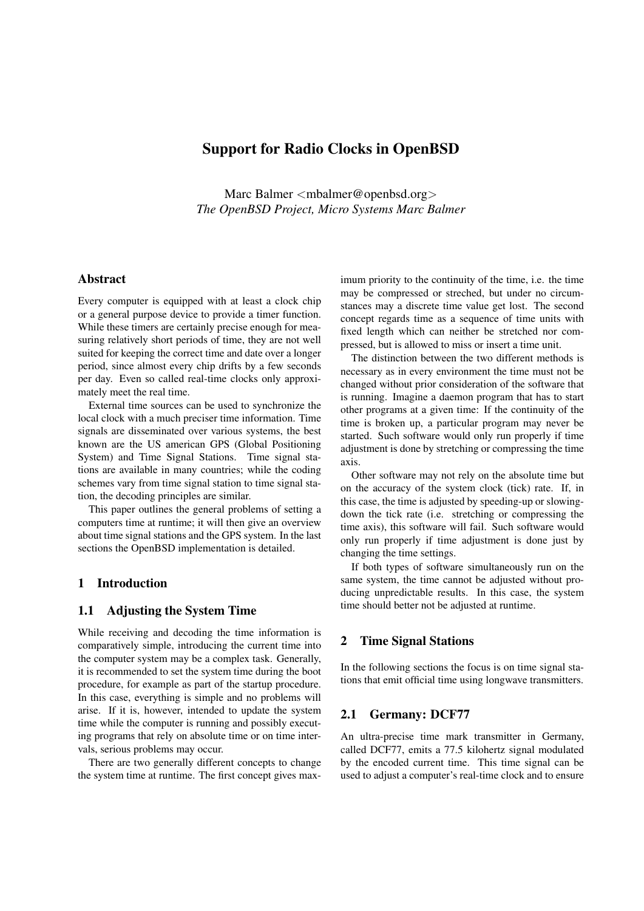# Support for Radio Clocks in OpenBSD

Marc Balmer <mbalmer@openbsd.org> *The OpenBSD Project, Micro Systems Marc Balmer*

# Abstract

Every computer is equipped with at least a clock chip or a general purpose device to provide a timer function. While these timers are certainly precise enough for measuring relatively short periods of time, they are not well suited for keeping the correct time and date over a longer period, since almost every chip drifts by a few seconds per day. Even so called real-time clocks only approximately meet the real time.

External time sources can be used to synchronize the local clock with a much preciser time information. Time signals are disseminated over various systems, the best known are the US american GPS (Global Positioning System) and Time Signal Stations. Time signal stations are available in many countries; while the coding schemes vary from time signal station to time signal station, the decoding principles are similar.

This paper outlines the general problems of setting a computers time at runtime; it will then give an overview about time signal stations and the GPS system. In the last sections the OpenBSD implementation is detailed.

#### 1 Introduction

# 1.1 Adjusting the System Time

While receiving and decoding the time information is comparatively simple, introducing the current time into the computer system may be a complex task. Generally, it is recommended to set the system time during the boot procedure, for example as part of the startup procedure. In this case, everything is simple and no problems will arise. If it is, however, intended to update the system time while the computer is running and possibly executing programs that rely on absolute time or on time intervals, serious problems may occur.

There are two generally different concepts to change the system time at runtime. The first concept gives max-

imum priority to the continuity of the time, i.e. the time may be compressed or streched, but under no circumstances may a discrete time value get lost. The second concept regards time as a sequence of time units with fixed length which can neither be stretched nor compressed, but is allowed to miss or insert a time unit.

The distinction between the two different methods is necessary as in every environment the time must not be changed without prior consideration of the software that is running. Imagine a daemon program that has to start other programs at a given time: If the continuity of the time is broken up, a particular program may never be started. Such software would only run properly if time adjustment is done by stretching or compressing the time axis.

Other software may not rely on the absolute time but on the accuracy of the system clock (tick) rate. If, in this case, the time is adjusted by speeding-up or slowingdown the tick rate (i.e. stretching or compressing the time axis), this software will fail. Such software would only run properly if time adjustment is done just by changing the time settings.

If both types of software simultaneously run on the same system, the time cannot be adjusted without producing unpredictable results. In this case, the system time should better not be adjusted at runtime.

# 2 Time Signal Stations

In the following sections the focus is on time signal stations that emit official time using longwave transmitters.

### 2.1 Germany: DCF77

An ultra-precise time mark transmitter in Germany, called DCF77, emits a 77.5 kilohertz signal modulated by the encoded current time. This time signal can be used to adjust a computer's real-time clock and to ensure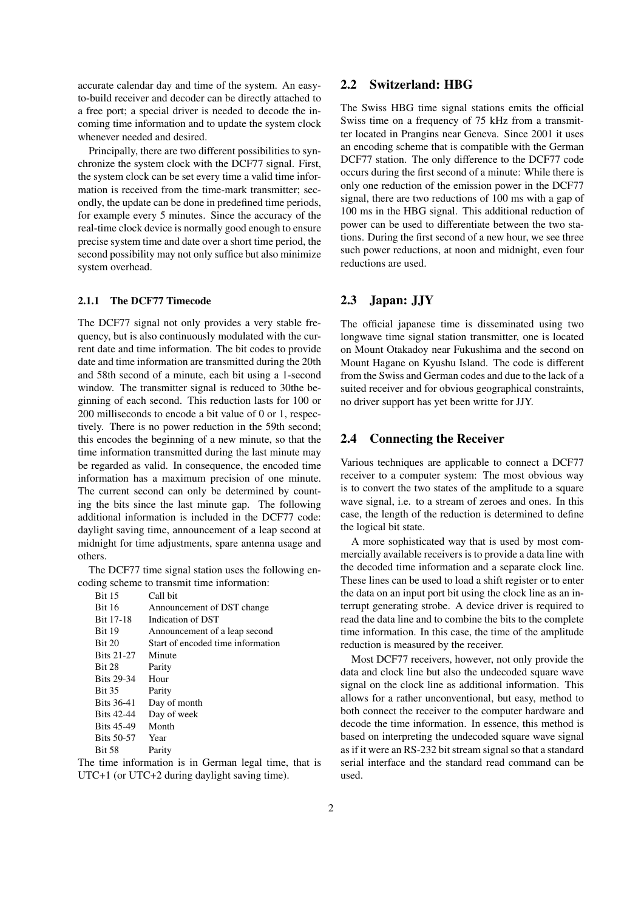accurate calendar day and time of the system. An easyto-build receiver and decoder can be directly attached to a free port; a special driver is needed to decode the incoming time information and to update the system clock whenever needed and desired.

Principally, there are two different possibilities to synchronize the system clock with the DCF77 signal. First, the system clock can be set every time a valid time information is received from the time-mark transmitter; secondly, the update can be done in predefined time periods, for example every 5 minutes. Since the accuracy of the real-time clock device is normally good enough to ensure precise system time and date over a short time period, the second possibility may not only suffice but also minimize system overhead.

#### 2.1.1 The DCF77 Timecode

The DCF77 signal not only provides a very stable frequency, but is also continuously modulated with the current date and time information. The bit codes to provide date and time information are transmitted during the 20th and 58th second of a minute, each bit using a 1-second window. The transmitter signal is reduced to 30the beginning of each second. This reduction lasts for 100 or 200 milliseconds to encode a bit value of 0 or 1, respectively. There is no power reduction in the 59th second; this encodes the beginning of a new minute, so that the time information transmitted during the last minute may be regarded as valid. In consequence, the encoded time information has a maximum precision of one minute. The current second can only be determined by counting the bits since the last minute gap. The following additional information is included in the DCF77 code: daylight saving time, announcement of a leap second at midnight for time adjustments, spare antenna usage and others.

The DCF77 time signal station uses the following encoding scheme to transmit time information:

| <b>Bit 15</b>     | Call bit                          |
|-------------------|-----------------------------------|
| <b>Bit 16</b>     | Announcement of DST change        |
| <b>Bit 17-18</b>  | Indication of DST                 |
| <b>Bit 19</b>     | Announcement of a leap second     |
| <b>Bit 20</b>     | Start of encoded time information |
| <b>Bits 21-27</b> | Minute                            |
| <b>Bit 28</b>     | Parity                            |
| <b>Bits 29-34</b> | Hour                              |
| <b>Bit 35</b>     | Parity                            |
| <b>Bits 36-41</b> | Day of month                      |
| <b>Bits 42-44</b> | Day of week                       |
| <b>Bits 45-49</b> | Month                             |
| <b>Bits 50-57</b> | Year                              |
| <b>Bit 58</b>     | Parity                            |
|                   |                                   |

The time information is in German legal time, that is UTC+1 (or UTC+2 during daylight saving time).

### 2.2 Switzerland: HBG

The Swiss HBG time signal stations emits the official Swiss time on a frequency of 75 kHz from a transmitter located in Prangins near Geneva. Since 2001 it uses an encoding scheme that is compatible with the German DCF77 station. The only difference to the DCF77 code occurs during the first second of a minute: While there is only one reduction of the emission power in the DCF77 signal, there are two reductions of 100 ms with a gap of 100 ms in the HBG signal. This additional reduction of power can be used to differentiate between the two stations. During the first second of a new hour, we see three such power reductions, at noon and midnight, even four reductions are used.

# 2.3 Japan: JJY

The official japanese time is disseminated using two longwave time signal station transmitter, one is located on Mount Otakadoy near Fukushima and the second on Mount Hagane on Kyushu Island. The code is different from the Swiss and German codes and due to the lack of a suited receiver and for obvious geographical constraints, no driver support has yet been writte for JJY.

# 2.4 Connecting the Receiver

Various techniques are applicable to connect a DCF77 receiver to a computer system: The most obvious way is to convert the two states of the amplitude to a square wave signal, i.e. to a stream of zeroes and ones. In this case, the length of the reduction is determined to define the logical bit state.

A more sophisticated way that is used by most commercially available receivers is to provide a data line with the decoded time information and a separate clock line. These lines can be used to load a shift register or to enter the data on an input port bit using the clock line as an interrupt generating strobe. A device driver is required to read the data line and to combine the bits to the complete time information. In this case, the time of the amplitude reduction is measured by the receiver.

Most DCF77 receivers, however, not only provide the data and clock line but also the undecoded square wave signal on the clock line as additional information. This allows for a rather unconventional, but easy, method to both connect the receiver to the computer hardware and decode the time information. In essence, this method is based on interpreting the undecoded square wave signal as if it were an RS-232 bit stream signal so that a standard serial interface and the standard read command can be used.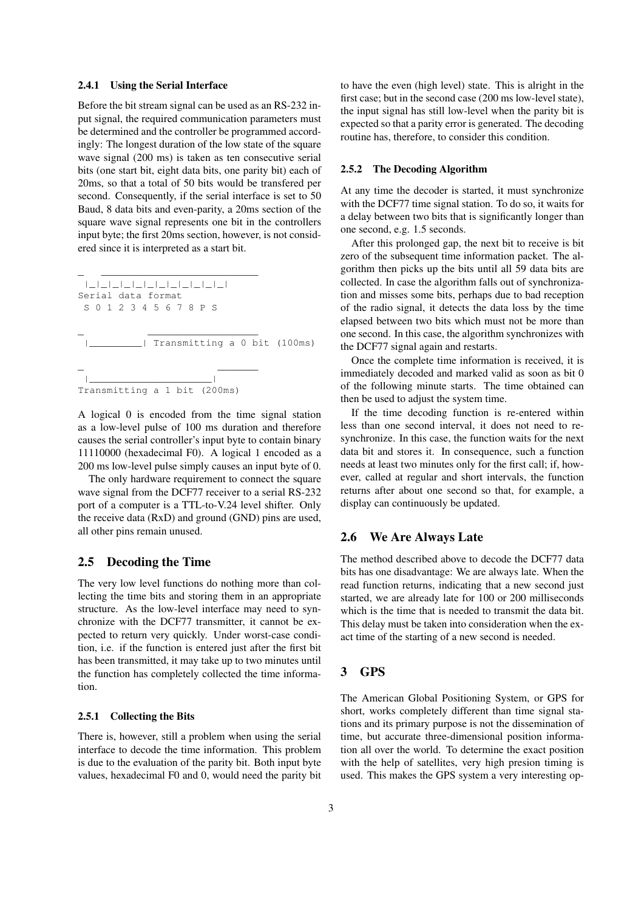#### 2.4.1 Using the Serial Interface

Before the bit stream signal can be used as an RS-232 input signal, the required communication parameters must be determined and the controller be programmed accordingly: The longest duration of the low state of the square wave signal (200 ms) is taken as ten consecutive serial bits (one start bit, eight data bits, one parity bit) each of 20ms, so that a total of 50 bits would be transfered per second. Consequently, if the serial interface is set to 50 Baud, 8 data bits and even-parity, a 20ms section of the square wave signal represents one bit in the controllers input byte; the first 20ms section, however, is not considered since it is interpreted as a start bit.

 $\mathcal{L}$  , and the set of the set of the set of the set of the set of the set of the set of the set of the set of the set of the set of the set of the set of the set of the set of the set of the set of the set of the set |\_|\_|\_|\_|\_|\_|\_|\_|\_|\_|\_|\_| Serial data format S 0 1 2 3 4 5 6 7 8 P S  $\frac{1}{2}$  , which is the set of  $\frac{1}{2}$  , and  $\frac{1}{2}$  , and  $\frac{1}{2}$  , and  $\frac{1}{2}$ |\_\_\_\_\_\_\_\_\_| Transmitting a 0 bit (100ms) \_ \_\_\_\_\_\_\_ |\_\_\_\_\_\_\_\_\_\_\_\_\_\_\_\_\_\_\_\_\_| Transmitting a 1 bit (200ms)

A logical 0 is encoded from the time signal station as a low-level pulse of 100 ms duration and therefore causes the serial controller's input byte to contain binary 11110000 (hexadecimal F0). A logical 1 encoded as a 200 ms low-level pulse simply causes an input byte of 0.

The only hardware requirement to connect the square wave signal from the DCF77 receiver to a serial RS-232 port of a computer is a TTL-to-V.24 level shifter. Only the receive data (RxD) and ground (GND) pins are used, all other pins remain unused.

### 2.5 Decoding the Time

The very low level functions do nothing more than collecting the time bits and storing them in an appropriate structure. As the low-level interface may need to synchronize with the DCF77 transmitter, it cannot be expected to return very quickly. Under worst-case condition, i.e. if the function is entered just after the first bit has been transmitted, it may take up to two minutes until the function has completely collected the time information.

#### 2.5.1 Collecting the Bits

There is, however, still a problem when using the serial interface to decode the time information. This problem is due to the evaluation of the parity bit. Both input byte values, hexadecimal F0 and 0, would need the parity bit

to have the even (high level) state. This is alright in the first case; but in the second case (200 ms low-level state), the input signal has still low-level when the parity bit is expected so that a parity error is generated. The decoding routine has, therefore, to consider this condition.

#### 2.5.2 The Decoding Algorithm

At any time the decoder is started, it must synchronize with the DCF77 time signal station. To do so, it waits for a delay between two bits that is significantly longer than one second, e.g. 1.5 seconds.

After this prolonged gap, the next bit to receive is bit zero of the subsequent time information packet. The algorithm then picks up the bits until all 59 data bits are collected. In case the algorithm falls out of synchronization and misses some bits, perhaps due to bad reception of the radio signal, it detects the data loss by the time elapsed between two bits which must not be more than one second. In this case, the algorithm synchronizes with the DCF77 signal again and restarts.

Once the complete time information is received, it is immediately decoded and marked valid as soon as bit 0 of the following minute starts. The time obtained can then be used to adjust the system time.

If the time decoding function is re-entered within less than one second interval, it does not need to resynchronize. In this case, the function waits for the next data bit and stores it. In consequence, such a function needs at least two minutes only for the first call; if, however, called at regular and short intervals, the function returns after about one second so that, for example, a display can continuously be updated.

#### 2.6 We Are Always Late

The method described above to decode the DCF77 data bits has one disadvantage: We are always late. When the read function returns, indicating that a new second just started, we are already late for 100 or 200 milliseconds which is the time that is needed to transmit the data bit. This delay must be taken into consideration when the exact time of the starting of a new second is needed.

# 3 GPS

The American Global Positioning System, or GPS for short, works completely different than time signal stations and its primary purpose is not the dissemination of time, but accurate three-dimensional position information all over the world. To determine the exact position with the help of satellites, very high presion timing is used. This makes the GPS system a very interesting op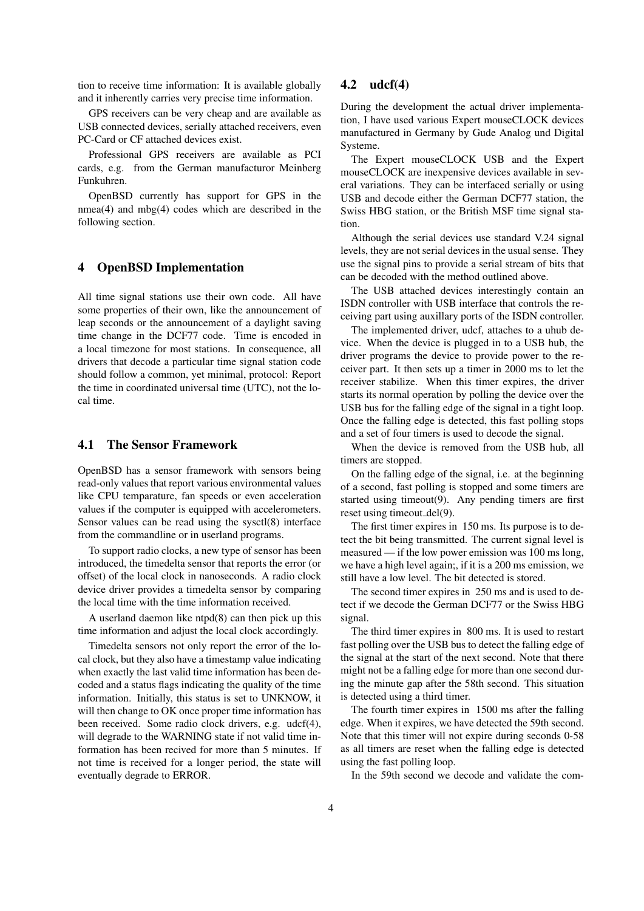tion to receive time information: It is available globally and it inherently carries very precise time information.

GPS receivers can be very cheap and are available as USB connected devices, serially attached receivers, even PC-Card or CF attached devices exist.

Professional GPS receivers are available as PCI cards, e.g. from the German manufacturor Meinberg Funkuhren.

OpenBSD currently has support for GPS in the  $nmea(4)$  and  $mbg(4)$  codes which are described in the following section.

# 4 OpenBSD Implementation

All time signal stations use their own code. All have some properties of their own, like the announcement of leap seconds or the announcement of a daylight saving time change in the DCF77 code. Time is encoded in a local timezone for most stations. In consequence, all drivers that decode a particular time signal station code should follow a common, yet minimal, protocol: Report the time in coordinated universal time (UTC), not the local time.

## 4.1 The Sensor Framework

OpenBSD has a sensor framework with sensors being read-only values that report various environmental values like CPU temparature, fan speeds or even acceleration values if the computer is equipped with accelerometers. Sensor values can be read using the sysctl(8) interface from the commandline or in userland programs.

To support radio clocks, a new type of sensor has been introduced, the timedelta sensor that reports the error (or offset) of the local clock in nanoseconds. A radio clock device driver provides a timedelta sensor by comparing the local time with the time information received.

A userland daemon like ntpd(8) can then pick up this time information and adjust the local clock accordingly.

Timedelta sensors not only report the error of the local clock, but they also have a timestamp value indicating when exactly the last valid time information has been decoded and a status flags indicating the quality of the time information. Initially, this status is set to UNKNOW, it will then change to OK once proper time information has been received. Some radio clock drivers, e.g. udcf(4), will degrade to the WARNING state if not valid time information has been recived for more than 5 minutes. If not time is received for a longer period, the state will eventually degrade to ERROR.

# 4.2 udcf(4)

During the development the actual driver implementation, I have used various Expert mouseCLOCK devices manufactured in Germany by Gude Analog und Digital Systeme.

The Expert mouseCLOCK USB and the Expert mouseCLOCK are inexpensive devices available in several variations. They can be interfaced serially or using USB and decode either the German DCF77 station, the Swiss HBG station, or the British MSF time signal station.

Although the serial devices use standard V.24 signal levels, they are not serial devices in the usual sense. They use the signal pins to provide a serial stream of bits that can be decoded with the method outlined above.

The USB attached devices interestingly contain an ISDN controller with USB interface that controls the receiving part using auxillary ports of the ISDN controller.

The implemented driver, udcf, attaches to a uhub device. When the device is plugged in to a USB hub, the driver programs the device to provide power to the receiver part. It then sets up a timer in 2000 ms to let the receiver stabilize. When this timer expires, the driver starts its normal operation by polling the device over the USB bus for the falling edge of the signal in a tight loop. Once the falling edge is detected, this fast polling stops and a set of four timers is used to decode the signal.

When the device is removed from the USB hub, all timers are stopped.

On the falling edge of the signal, i.e. at the beginning of a second, fast polling is stopped and some timers are started using timeout(9). Any pending timers are first reset using timeout del(9).

The first timer expires in 150 ms. Its purpose is to detect the bit being transmitted. The current signal level is measured — if the low power emission was 100 ms long, we have a high level again;, if it is a 200 ms emission, we still have a low level. The bit detected is stored.

The second timer expires in 250 ms and is used to detect if we decode the German DCF77 or the Swiss HBG signal.

The third timer expires in 800 ms. It is used to restart fast polling over the USB bus to detect the falling edge of the signal at the start of the next second. Note that there might not be a falling edge for more than one second during the minute gap after the 58th second. This situation is detected using a third timer.

The fourth timer expires in 1500 ms after the falling edge. When it expires, we have detected the 59th second. Note that this timer will not expire during seconds 0-58 as all timers are reset when the falling edge is detected using the fast polling loop.

In the 59th second we decode and validate the com-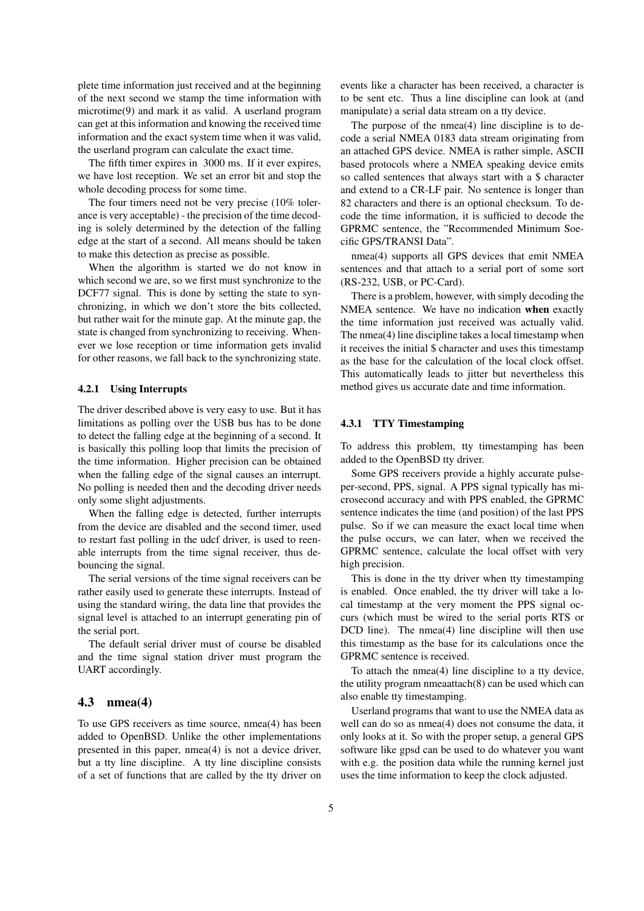plete time information just received and at the beginning of the next second we stamp the time information with microtime(9) and mark it as valid. A userland program can get at this information and knowing the received time information and the exact system time when it was valid, the userland program can calculate the exact time.

The fifth timer expires in 3000 ms. If it ever expires, we have lost reception. We set an error bit and stop the whole decoding process for some time.

The four timers need not be very precise (10% tolerance is very acceptable) - the precision of the time decoding is solely determined by the detection of the falling edge at the start of a second. All means should be taken to make this detection as precise as possible.

When the algorithm is started we do not know in which second we are, so we first must synchronize to the DCF77 signal. This is done by setting the state to synchronizing, in which we don't store the bits collected, but rather wait for the minute gap. At the minute gap, the state is changed from synchronizing to receiving. Whenever we lose reception or time information gets invalid for other reasons, we fall back to the synchronizing state.

#### 4.2.1 Using Interrupts

The driver described above is very easy to use. But it has limitations as polling over the USB bus has to be done to detect the falling edge at the beginning of a second. It is basically this polling loop that limits the precision of the time information. Higher precision can be obtained when the falling edge of the signal causes an interrupt. No polling is needed then and the decoding driver needs only some slight adjustments.

When the falling edge is detected, further interrupts from the device are disabled and the second timer, used to restart fast polling in the udcf driver, is used to reenable interrupts from the time signal receiver, thus debouncing the signal.

The serial versions of the time signal receivers can be rather easily used to generate these interrupts. Instead of using the standard wiring, the data line that provides the signal level is attached to an interrupt generating pin of the serial port.

The default serial driver must of course be disabled and the time signal station driver must program the UART accordingly.

#### 4.3 nmea(4)

To use GPS receivers as time source, nmea(4) has been added to OpenBSD. Unlike the other implementations presented in this paper, nmea(4) is not a device driver, but a tty line discipline. A tty line discipline consists of a set of functions that are called by the tty driver on

events like a character has been received, a character is to be sent etc. Thus a line discipline can look at (and manipulate) a serial data stream on a tty device.

The purpose of the nmea(4) line discipline is to decode a serial NMEA 0183 data stream originating from an attached GPS device. NMEA is rather simple, ASCII based protocols where a NMEA speaking device emits so called sentences that always start with a \$ character and extend to a CR-LF pair. No sentence is longer than 82 characters and there is an optional checksum. To decode the time information, it is sufficied to decode the GPRMC sentence, the "Recommended Minimum Soecific GPS/TRANSI Data".

nmea(4) supports all GPS devices that emit NMEA sentences and that attach to a serial port of some sort (RS-232, USB, or PC-Card).

There is a problem, however, with simply decoding the NMEA sentence. We have no indication when exactly the time information just received was actually valid. The nmea(4) line discipline takes a local timestamp when it receives the initial \$ character and uses this timestamp as the base for the calculation of the local clock offset. This automatically leads to jitter but nevertheless this method gives us accurate date and time information.

#### 4.3.1 TTY Timestamping

To address this problem, tty timestamping has been added to the OpenBSD tty driver.

Some GPS receivers provide a highly accurate pulseper-second, PPS, signal. A PPS signal typically has microsecond accuracy and with PPS enabled, the GPRMC sentence indicates the time (and position) of the last PPS pulse. So if we can measure the exact local time when the pulse occurs, we can later, when we received the GPRMC sentence, calculate the local offset with very high precision.

This is done in the tty driver when tty timestamping is enabled. Once enabled, the tty driver will take a local timestamp at the very moment the PPS signal occurs (which must be wired to the serial ports RTS or DCD line). The nmea(4) line discipline will then use this timestamp as the base for its calculations once the GPRMC sentence is received.

To attach the nmea(4) line discipline to a tty device, the utility program nmeaattach(8) can be used which can also enable tty timestamping.

Userland programs that want to use the NMEA data as well can do so as nmea(4) does not consume the data, it only looks at it. So with the proper setup, a general GPS software like gpsd can be used to do whatever you want with e.g. the position data while the running kernel just uses the time information to keep the clock adjusted.